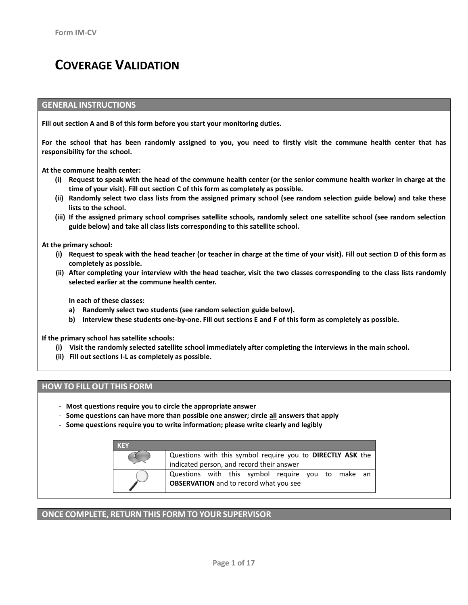# **COVERAGE VALIDATION**

#### **GENERAL INSTRUCTIONS**

**Fill out section A and B of this form before you start your monitoring duties.**

**For the school that has been randomly assigned to you, you need to firstly visit the commune health center that has responsibility for the school.**

**At the commune health center:**

- **(i) Request to speak with the head of the commune health center (or the senior commune health worker in charge at the time of your visit). Fill out section C of this form as completely as possible.**
- **(ii) Randomly select two class lists from the assigned primary school (see random selection guide below) and take these lists to the school.**
- **(iii) If the assigned primary school comprises satellite schools, randomly select one satellite school (see random selection guide below) and take all class lists corresponding to this satellite school.**

**At the primary school:**

- **(i) Request to speak with the head teacher (or teacher in charge at the time of your visit). Fill out section D of this form as completely as possible.**
- **(ii) After completing your interview with the head teacher, visit the two classes corresponding to the class lists randomly selected earlier at the commune health center.**

**In each of these classes:**

- **a) Randomly select two students (see random selection guide below).**
- **b) Interview these students one-by-one. Fill out sections E and F of this form as completely as possible.**

**If the primary school has satellite schools:**

- **(i) Visit the randomly selected satellite school immediately after completing the interviews in the main school.**
- **(ii) Fill out sections I-L as completely as possible.**

#### **HOW TO FILL OUT THIS FORM**

- **Most questions require you to circle the appropriate answer**
- **Some questions can have more than possible one answer; circle all answers that apply**
- **Some questions require you to write information; please write clearly and legibly**

| <b>KFY</b> |                                                                                                         |  |  |
|------------|---------------------------------------------------------------------------------------------------------|--|--|
|            | Questions with this symbol require you to DIRECTLY ASK the<br>indicated person, and record their answer |  |  |
|            | Questions with this symbol require you to make an<br><b>OBSERVATION</b> and to record what you see      |  |  |

#### **ONCE COMPLETE, RETURN THIS FORM TO YOUR SUPERVISOR**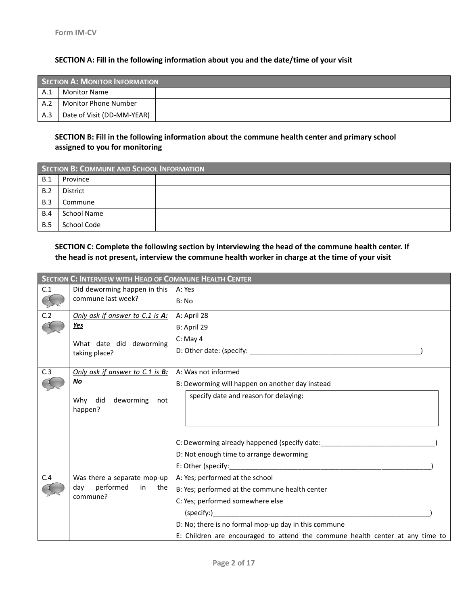## **SECTION A: Fill in the following information about you and the date/time of your visit**

|     | SECTION A: MONITOR INFORMATION |  |  |
|-----|--------------------------------|--|--|
| A.1 | Monitor Name                   |  |  |
| A.2 | <b>Monitor Phone Number</b>    |  |  |
| A.3 | Date of Visit (DD-MM-YEAR)     |  |  |

# **SECTION B: Fill in the following information about the commune health center and primary school assigned to you for monitoring**

|     | SECTION B: COMMUNE AND SCHOOL INFORMATION |  |  |
|-----|-------------------------------------------|--|--|
| B.1 | Province                                  |  |  |
| B.2 | District                                  |  |  |
| B.3 | Commune                                   |  |  |
| B.4 | School Name                               |  |  |
| B.5 | School Code                               |  |  |

## **SECTION C: Complete the following section by interviewing the head of the commune health center. If the head is not present, interview the commune health worker in charge at the time of your visit**

|     | <b>SECTION C: INTERVIEW WITH HEAD OF COMMUNE HEALTH CENTER</b> |                                                                               |
|-----|----------------------------------------------------------------|-------------------------------------------------------------------------------|
| C.1 | Did deworming happen in this                                   | A: Yes                                                                        |
|     | commune last week?                                             | B: No                                                                         |
| C.2 | Only ask if answer to C.1 is A:                                | A: April 28                                                                   |
|     | <u>Yes</u>                                                     | B: April 29                                                                   |
|     | What date did deworming                                        | $C:$ May 4                                                                    |
|     | taking place?                                                  |                                                                               |
| C.3 | Only ask if answer to C.1 is B:                                | A: Was not informed                                                           |
|     | No                                                             | B: Deworming will happen on another day instead                               |
|     | deworming<br>did<br>Whv<br>not<br>happen?                      | specify date and reason for delaying:                                         |
|     |                                                                |                                                                               |
|     |                                                                | C: Deworming already happened (specify date:                                  |
|     |                                                                | D: Not enough time to arrange deworming                                       |
|     |                                                                |                                                                               |
| C.4 | Was there a separate mop-up                                    | A: Yes; performed at the school                                               |
|     | performed<br>dav<br>in<br>the                                  | B: Yes; performed at the commune health center                                |
|     | commune?                                                       | C: Yes; performed somewhere else                                              |
|     |                                                                | (specify:)                                                                    |
|     |                                                                | D: No; there is no formal mop-up day in this commune                          |
|     |                                                                | E: Children are encouraged to attend the commune health center at any time to |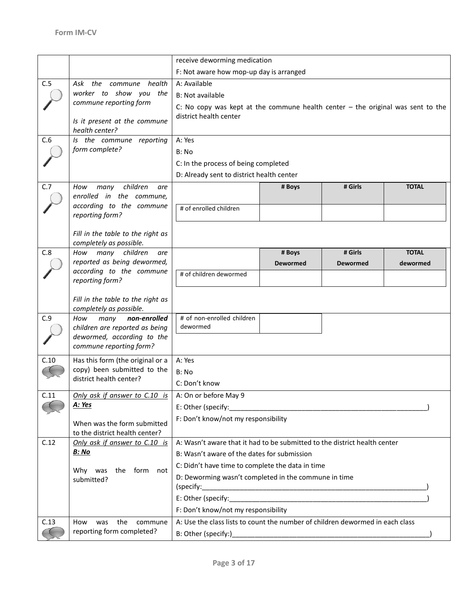|      |                                                               | receive deworming medication                                                                                                                                                                                                  |                 |                 |              |
|------|---------------------------------------------------------------|-------------------------------------------------------------------------------------------------------------------------------------------------------------------------------------------------------------------------------|-----------------|-----------------|--------------|
|      |                                                               | F: Not aware how mop-up day is arranged                                                                                                                                                                                       |                 |                 |              |
| C.5  | Ask the commune health                                        | A: Available                                                                                                                                                                                                                  |                 |                 |              |
|      | worker to show you the                                        | <b>B: Not available</b>                                                                                                                                                                                                       |                 |                 |              |
|      | commune reporting form                                        |                                                                                                                                                                                                                               |                 |                 |              |
|      |                                                               | C: No copy was kept at the commune health center $-$ the original was sent to the<br>district health center                                                                                                                   |                 |                 |              |
|      | Is it present at the commune                                  |                                                                                                                                                                                                                               |                 |                 |              |
|      | health center?                                                |                                                                                                                                                                                                                               |                 |                 |              |
| C.6  | Is the commune reporting<br>form complete?                    | A: Yes                                                                                                                                                                                                                        |                 |                 |              |
|      |                                                               | B: No                                                                                                                                                                                                                         |                 |                 |              |
|      |                                                               | C: In the process of being completed                                                                                                                                                                                          |                 |                 |              |
|      |                                                               | D: Already sent to district health center                                                                                                                                                                                     |                 |                 |              |
| C.7  | children<br>How<br>many<br>are                                |                                                                                                                                                                                                                               | # Boys          | # Girls         | <b>TOTAL</b> |
|      | enrolled in the commune,<br>according to the commune          |                                                                                                                                                                                                                               |                 |                 |              |
|      | reporting form?                                               | # of enrolled children                                                                                                                                                                                                        |                 |                 |              |
|      |                                                               |                                                                                                                                                                                                                               |                 |                 |              |
|      | Fill in the table to the right as                             |                                                                                                                                                                                                                               |                 |                 |              |
|      | completely as possible.                                       |                                                                                                                                                                                                                               |                 |                 |              |
| C.8  | many children<br>How<br>are<br>reported as being dewormed,    |                                                                                                                                                                                                                               | # Boys          | # Girls         | <b>TOTAL</b> |
|      | according to the commune                                      |                                                                                                                                                                                                                               | <b>Dewormed</b> | <b>Dewormed</b> | dewormed     |
|      | reporting form?                                               | # of children dewormed                                                                                                                                                                                                        |                 |                 |              |
|      |                                                               |                                                                                                                                                                                                                               |                 |                 |              |
|      | Fill in the table to the right as                             |                                                                                                                                                                                                                               |                 |                 |              |
|      | completely as possible.                                       |                                                                                                                                                                                                                               |                 |                 |              |
| C.9  | many<br>non-enrolled<br>How<br>children are reported as being | # of non-enrolled children<br>dewormed                                                                                                                                                                                        |                 |                 |              |
|      | dewormed, according to the                                    |                                                                                                                                                                                                                               |                 |                 |              |
|      | commune reporting form?                                       |                                                                                                                                                                                                                               |                 |                 |              |
| C.10 | Has this form (the original or a                              | A: Yes                                                                                                                                                                                                                        |                 |                 |              |
|      | copy) been submitted to the                                   | B: No                                                                                                                                                                                                                         |                 |                 |              |
|      | district health center?                                       | C: Don't know                                                                                                                                                                                                                 |                 |                 |              |
| C.11 | Only ask if answer to C.10 is                                 | A: On or before May 9                                                                                                                                                                                                         |                 |                 |              |
|      | A: Yes                                                        | E: Other (specify:                                                                                                                                                                                                            |                 |                 |              |
|      |                                                               | F: Don't know/not my responsibility                                                                                                                                                                                           |                 |                 |              |
|      | When was the form submitted                                   |                                                                                                                                                                                                                               |                 |                 |              |
|      | to the district health center?                                |                                                                                                                                                                                                                               |                 |                 |              |
| C.12 | Only ask if answer to C.10 is                                 | A: Wasn't aware that it had to be submitted to the district health center                                                                                                                                                     |                 |                 |              |
|      | <u>B: No</u>                                                  | B: Wasn't aware of the dates for submission                                                                                                                                                                                   |                 |                 |              |
|      | Why was<br>the<br>form<br>not                                 | C: Didn't have time to complete the data in time                                                                                                                                                                              |                 |                 |              |
|      | submitted?                                                    | D: Deworming wasn't completed in the commune in time                                                                                                                                                                          |                 |                 |              |
|      |                                                               | (specify:                                                                                                                                                                                                                     |                 |                 |              |
|      |                                                               | E: Other (specify: ether and a set of the set of the set of the set of the set of the set of the set of the set of the set of the set of the set of the set of the set of the set of the set of the set of the set of the set |                 |                 |              |
|      |                                                               | F: Don't know/not my responsibility                                                                                                                                                                                           |                 |                 |              |
| C.13 | the<br>commune<br>How<br>was                                  | A: Use the class lists to count the number of children dewormed in each class                                                                                                                                                 |                 |                 |              |
|      | reporting form completed?                                     |                                                                                                                                                                                                                               |                 |                 |              |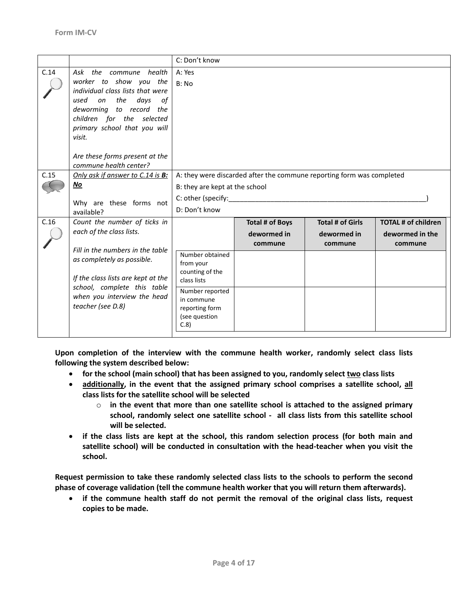|      |                                                            | C: Don't know                  |                                                                       |                         |                            |
|------|------------------------------------------------------------|--------------------------------|-----------------------------------------------------------------------|-------------------------|----------------------------|
| C.14 | Ask the commune health                                     | A: Yes                         |                                                                       |                         |                            |
|      | worker to show you the<br>individual class lists that were | B: No                          |                                                                       |                         |                            |
|      | the<br>days<br>used<br>on<br>οf                            |                                |                                                                       |                         |                            |
|      | deworming to record the                                    |                                |                                                                       |                         |                            |
|      | children for the selected                                  |                                |                                                                       |                         |                            |
|      | primary school that you will                               |                                |                                                                       |                         |                            |
|      | visit.                                                     |                                |                                                                       |                         |                            |
|      | Are these forms present at the                             |                                |                                                                       |                         |                            |
|      | commune health center?                                     |                                |                                                                       |                         |                            |
| C.15 | Only ask if answer to C.14 is B:                           |                                | A: they were discarded after the commune reporting form was completed |                         |                            |
|      | No                                                         | B: they are kept at the school |                                                                       |                         |                            |
|      | Why are these forms not                                    | C: other (specify:             |                                                                       |                         |                            |
|      | available?                                                 | D: Don't know                  |                                                                       |                         |                            |
| C.16 | Count the number of ticks in                               |                                | <b>Total # of Boys</b>                                                | <b>Total # of Girls</b> | <b>TOTAL # of children</b> |
|      | each of the class lists.                                   |                                | dewormed in                                                           | dewormed in             | dewormed in the            |
|      | Fill in the numbers in the table                           |                                | commune                                                               | commune                 | commune                    |
|      | as completely as possible.                                 | Number obtained                |                                                                       |                         |                            |
|      |                                                            | from your<br>counting of the   |                                                                       |                         |                            |
|      | If the class lists are kept at the                         | class lists                    |                                                                       |                         |                            |
|      | school, complete this table<br>when you interview the head | Number reported                |                                                                       |                         |                            |
|      | teacher (see D.8)                                          | in commune<br>reporting form   |                                                                       |                         |                            |
|      |                                                            | (see question                  |                                                                       |                         |                            |
|      |                                                            | C.8                            |                                                                       |                         |                            |
|      |                                                            |                                |                                                                       |                         |                            |

**Upon completion of the interview with the commune health worker, randomly select class lists following the system described below:** 

- **for the school (main school)** that has been assigned to you, randomly select two class lists
- **additionally, in the event that the assigned primary school comprises a satellite school, all class lists for the satellite school will be selected** 
	- o **in the event that more than one satellite school is attached to the assigned primary school, randomly select one satellite school - all class lists from this satellite school will be selected.**
- **if the class lists are kept at the school, this random selection process (for both main and satellite school) will be conducted in consultation with the head-teacher when you visit the school.**

**Request permission to take these randomly selected class lists to the schools to perform the second phase of coverage validation (tell the commune health worker that you will return them afterwards).**

 **if the commune health staff do not permit the removal of the original class lists, request copies to be made.**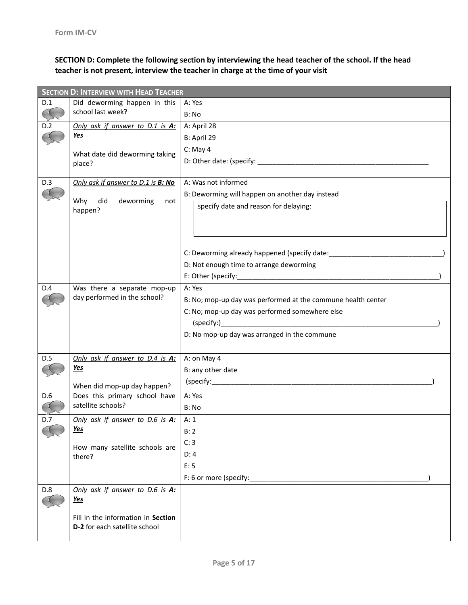**SECTION D: Complete the following section by interviewing the head teacher of the school. If the head teacher is not present, interview the teacher in charge at the time of your visit**

|     | <b>SECTION D: INTERVIEW WITH HEAD TEACHER</b>                       |                                                                                  |  |  |
|-----|---------------------------------------------------------------------|----------------------------------------------------------------------------------|--|--|
| D.1 | Did deworming happen in this                                        | A: Yes                                                                           |  |  |
|     | school last week?                                                   | B: No                                                                            |  |  |
| D.2 | Only ask if answer to D.1 is A:                                     | A: April 28                                                                      |  |  |
|     | <u>Yes</u>                                                          | B: April 29                                                                      |  |  |
|     | What date did deworming taking                                      | $C:$ May 4                                                                       |  |  |
|     | place?                                                              |                                                                                  |  |  |
|     |                                                                     |                                                                                  |  |  |
| D.3 | Only ask if answer to D.1 is B: No                                  | A: Was not informed                                                              |  |  |
|     | did<br>Why                                                          | B: Deworming will happen on another day instead                                  |  |  |
|     | deworming<br>not<br>happen?                                         | specify date and reason for delaying:                                            |  |  |
|     |                                                                     |                                                                                  |  |  |
|     |                                                                     |                                                                                  |  |  |
|     |                                                                     |                                                                                  |  |  |
|     |                                                                     | C: Deworming already happened (specify date: ___________________________________ |  |  |
|     |                                                                     | D: Not enough time to arrange deworming                                          |  |  |
|     |                                                                     |                                                                                  |  |  |
| D.4 | Was there a separate mop-up                                         | A: Yes                                                                           |  |  |
|     | day performed in the school?                                        | B: No; mop-up day was performed at the commune health center                     |  |  |
|     |                                                                     | C: No; mop-up day was performed somewhere else                                   |  |  |
|     |                                                                     |                                                                                  |  |  |
|     |                                                                     | D: No mop-up day was arranged in the commune                                     |  |  |
|     |                                                                     |                                                                                  |  |  |
| D.5 | Only ask if answer to D.4 is A:                                     | A: on May 4                                                                      |  |  |
|     | Yes                                                                 | B: any other date                                                                |  |  |
|     | When did mop-up day happen?                                         |                                                                                  |  |  |
| D.6 | Does this primary school have                                       | A: Yes                                                                           |  |  |
|     | satellite schools?                                                  | B: No                                                                            |  |  |
| D.7 | Only ask if answer to D.6 is A:                                     | A:1                                                                              |  |  |
|     | <u>Yes</u>                                                          | B: 2                                                                             |  |  |
|     |                                                                     | C: 3                                                                             |  |  |
|     | How many satellite schools are<br>there?                            | D: 4                                                                             |  |  |
|     |                                                                     | E: 5                                                                             |  |  |
|     |                                                                     | F: 6 or more (specify:                                                           |  |  |
| D.8 | Only ask if answer to D.6 is A:                                     |                                                                                  |  |  |
|     | Yes                                                                 |                                                                                  |  |  |
|     |                                                                     |                                                                                  |  |  |
|     | Fill in the information in Section<br>D-2 for each satellite school |                                                                                  |  |  |
|     |                                                                     |                                                                                  |  |  |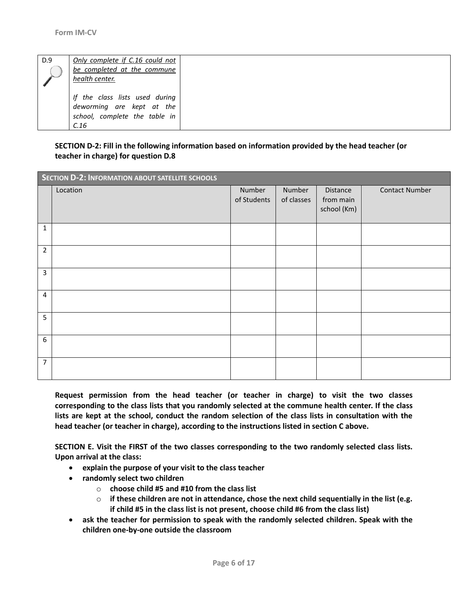| D.9 | Only complete if C.16 could not<br>be completed at the commune<br>health center.                     |  |
|-----|------------------------------------------------------------------------------------------------------|--|
|     | If the class lists used during<br>deworming are kept at the<br>school, complete the table in<br>C.16 |  |

### **SECTION D-2: Fill in the following information based on information provided by the head teacher (or teacher in charge) for question D.8**

|                | SECTION D-2: INFORMATION ABOUT SATELLITE SCHOOLS |                       |                      |                                      |                       |
|----------------|--------------------------------------------------|-----------------------|----------------------|--------------------------------------|-----------------------|
|                | Location                                         | Number<br>of Students | Number<br>of classes | Distance<br>from main<br>school (Km) | <b>Contact Number</b> |
| 1              |                                                  |                       |                      |                                      |                       |
| $\overline{2}$ |                                                  |                       |                      |                                      |                       |
| 3              |                                                  |                       |                      |                                      |                       |
| 4              |                                                  |                       |                      |                                      |                       |
| 5              |                                                  |                       |                      |                                      |                       |
| 6              |                                                  |                       |                      |                                      |                       |
| $\overline{7}$ |                                                  |                       |                      |                                      |                       |

**Request permission from the head teacher (or teacher in charge) to visit the two classes corresponding to the class lists that you randomly selected at the commune health center. If the class lists are kept at the school, conduct the random selection of the class lists in consultation with the head teacher (or teacher in charge), according to the instructions listed in section C above.**

**SECTION E. Visit the FIRST of the two classes corresponding to the two randomly selected class lists. Upon arrival at the class:**

- **explain the purpose of your visit to the class teacher**
- **randomly select two children**
	- o **choose child #5 and #10 from the class list**
	- $\circ$  if these children are not in attendance, chose the next child sequentially in the list (e.g. **if child #5 in the class list is not present, choose child #6 from the class list)**
- **ask the teacher for permission to speak with the randomly selected children. Speak with the children one-by-one outside the classroom**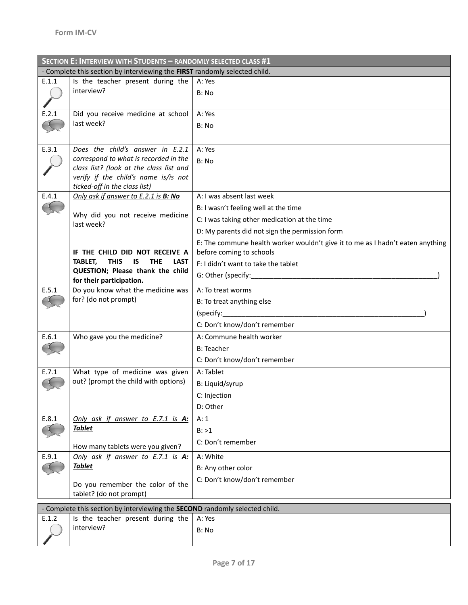|       | SECTION E: INTERVIEW WITH STUDENTS - RANDOMLY SELECTED CLASS #1                                                  |                                                                                |  |  |  |
|-------|------------------------------------------------------------------------------------------------------------------|--------------------------------------------------------------------------------|--|--|--|
|       | - Complete this section by interviewing the FIRST randomly selected child.                                       |                                                                                |  |  |  |
| E.1.1 | Is the teacher present during the                                                                                | A: Yes                                                                         |  |  |  |
|       | interview?                                                                                                       | B: No                                                                          |  |  |  |
|       |                                                                                                                  |                                                                                |  |  |  |
| E.2.1 | Did you receive medicine at school                                                                               | A: Yes                                                                         |  |  |  |
|       | last week?                                                                                                       | B: No                                                                          |  |  |  |
|       |                                                                                                                  |                                                                                |  |  |  |
| E.3.1 | Does the child's answer in E.2.1                                                                                 | A: Yes                                                                         |  |  |  |
|       | correspond to what is recorded in the                                                                            | B: No                                                                          |  |  |  |
|       | class list? (look at the class list and                                                                          |                                                                                |  |  |  |
|       | verify if the child's name is/is not<br>ticked-off in the class list)                                            |                                                                                |  |  |  |
| E.4.1 | Only ask if answer to E.2.1 is B: No                                                                             | A: I was absent last week                                                      |  |  |  |
|       |                                                                                                                  | B: I wasn't feeling well at the time                                           |  |  |  |
|       | Why did you not receive medicine                                                                                 | C: I was taking other medication at the time                                   |  |  |  |
|       | last week?                                                                                                       | D: My parents did not sign the permission form                                 |  |  |  |
|       |                                                                                                                  | E: The commune health worker wouldn't give it to me as I hadn't eaten anything |  |  |  |
|       | IF THE CHILD DID NOT RECEIVE A                                                                                   | before coming to schools                                                       |  |  |  |
|       | TABLET,<br><b>THIS</b><br>IS.<br><b>THE</b><br><b>LAST</b>                                                       | F: I didn't want to take the tablet                                            |  |  |  |
|       | QUESTION; Please thank the child                                                                                 |                                                                                |  |  |  |
|       | for their participation.                                                                                         |                                                                                |  |  |  |
| E.5.1 | Do you know what the medicine was<br>for? (do not prompt)                                                        | A: To treat worms                                                              |  |  |  |
|       |                                                                                                                  | B: To treat anything else                                                      |  |  |  |
|       |                                                                                                                  | (specify:                                                                      |  |  |  |
|       |                                                                                                                  | C: Don't know/don't remember                                                   |  |  |  |
| E.6.1 | Who gave you the medicine?                                                                                       | A: Commune health worker                                                       |  |  |  |
|       |                                                                                                                  | <b>B</b> : Teacher                                                             |  |  |  |
|       |                                                                                                                  | C: Don't know/don't remember                                                   |  |  |  |
| E.7.1 | What type of medicine was given<br>out? (prompt the child with options)                                          | A: Tablet                                                                      |  |  |  |
|       |                                                                                                                  | B: Liquid/syrup                                                                |  |  |  |
|       |                                                                                                                  | C: Injection                                                                   |  |  |  |
|       |                                                                                                                  | D: Other                                                                       |  |  |  |
| E.8.1 | Only ask if answer to E.7.1 is A:                                                                                | A: 1                                                                           |  |  |  |
|       | <b>Tablet</b>                                                                                                    | B: >1                                                                          |  |  |  |
|       | How many tablets were you given?                                                                                 | C: Don't remember                                                              |  |  |  |
| E.9.1 | Only ask if answer to E.7.1 is A:                                                                                | A: White                                                                       |  |  |  |
|       | <b>Tablet</b>                                                                                                    | B: Any other color                                                             |  |  |  |
|       |                                                                                                                  | C: Don't know/don't remember                                                   |  |  |  |
|       | Do you remember the color of the<br>tablet? (do not prompt)                                                      |                                                                                |  |  |  |
|       |                                                                                                                  |                                                                                |  |  |  |
| E.1.2 | - Complete this section by interviewing the SECOND randomly selected child.<br>Is the teacher present during the | A: Yes                                                                         |  |  |  |
|       | interview?                                                                                                       | B: No                                                                          |  |  |  |
|       |                                                                                                                  |                                                                                |  |  |  |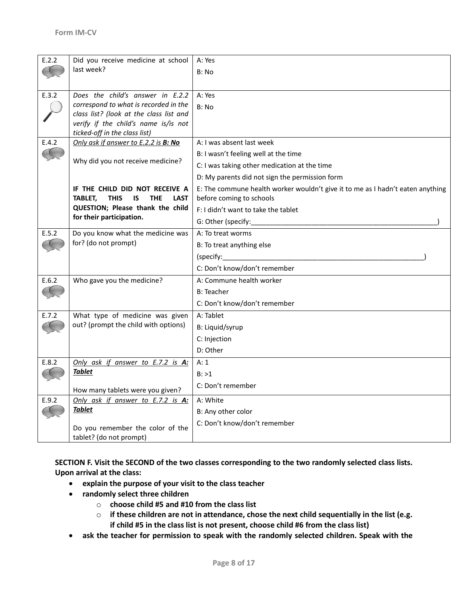| E.2.2 | Did you receive medicine at school<br>last week?                                                                                                             | A: Yes<br>B: No                                                                                            |
|-------|--------------------------------------------------------------------------------------------------------------------------------------------------------------|------------------------------------------------------------------------------------------------------------|
|       |                                                                                                                                                              |                                                                                                            |
| E.3.2 | Does the child's answer in E.2.2<br>correspond to what is recorded in the<br>class list? (look at the class list and<br>verify if the child's name is/is not | A: Yes<br>B: No                                                                                            |
|       | ticked-off in the class list)                                                                                                                                |                                                                                                            |
| E.4.2 | Only ask if answer to E.2.2 is B: No                                                                                                                         | A: I was absent last week                                                                                  |
|       | Why did you not receive medicine?                                                                                                                            | B: I wasn't feeling well at the time                                                                       |
|       |                                                                                                                                                              | C: I was taking other medication at the time                                                               |
|       |                                                                                                                                                              | D: My parents did not sign the permission form                                                             |
|       | IF THE CHILD DID NOT RECEIVE A<br>TABLET,<br><b>THIS</b><br>IS.<br><b>THE</b><br><b>LAST</b>                                                                 | E: The commune health worker wouldn't give it to me as I hadn't eaten anything<br>before coming to schools |
|       | QUESTION; Please thank the child                                                                                                                             | F: I didn't want to take the tablet                                                                        |
|       | for their participation.                                                                                                                                     |                                                                                                            |
| E.5.2 | Do you know what the medicine was                                                                                                                            | A: To treat worms                                                                                          |
|       | for? (do not prompt)                                                                                                                                         | B: To treat anything else                                                                                  |
|       |                                                                                                                                                              | (specify:                                                                                                  |
|       |                                                                                                                                                              | C: Don't know/don't remember                                                                               |
| E.6.2 | Who gave you the medicine?                                                                                                                                   | A: Commune health worker                                                                                   |
|       |                                                                                                                                                              | <b>B: Teacher</b>                                                                                          |
|       |                                                                                                                                                              | C: Don't know/don't remember                                                                               |
| E.7.2 | What type of medicine was given                                                                                                                              | A: Tablet                                                                                                  |
|       | out? (prompt the child with options)                                                                                                                         | B: Liquid/syrup                                                                                            |
|       |                                                                                                                                                              | C: Injection                                                                                               |
|       |                                                                                                                                                              | D: Other                                                                                                   |
| E.8.2 | Only ask if answer to E.7.2 is A:                                                                                                                            | A: 1                                                                                                       |
|       | <u>Tablet</u>                                                                                                                                                | B: >1                                                                                                      |
|       | How many tablets were you given?                                                                                                                             | C: Don't remember                                                                                          |
| E.9.2 | Only ask if answer to E.7.2 is A:                                                                                                                            | A: White                                                                                                   |
|       | <b>Tablet</b>                                                                                                                                                | B: Any other color                                                                                         |
|       | Do you remember the color of the<br>tablet? (do not prompt)                                                                                                  | C: Don't know/don't remember                                                                               |

**SECTION F. Visit the SECOND of the two classes corresponding to the two randomly selected class lists. Upon arrival at the class:**

- **explain the purpose of your visit to the class teacher**
- **randomly select three children**
	- o **choose child #5 and #10 from the class list**
	- o **if these children are not in attendance, chose the next child sequentially in the list (e.g. if child #5 in the class list is not present, choose child #6 from the class list)**
- **ask the teacher for permission to speak with the randomly selected children. Speak with the**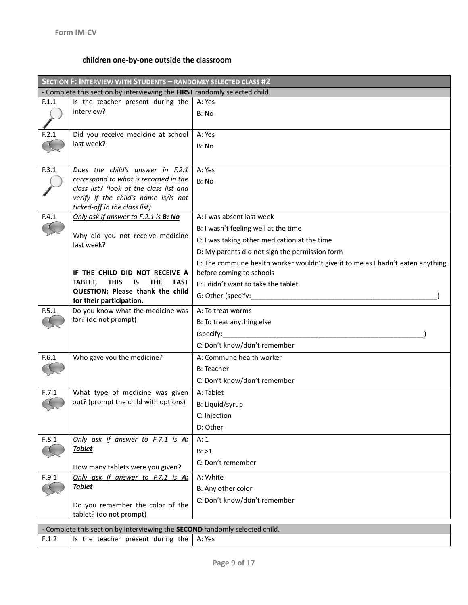# **children one-by-one outside the classroom**

|       | SECTION F: INTERVIEW WITH STUDENTS - RANDOMLY SELECTED CLASS #2                                                  |                                                                                |  |  |
|-------|------------------------------------------------------------------------------------------------------------------|--------------------------------------------------------------------------------|--|--|
|       | - Complete this section by interviewing the FIRST randomly selected child.                                       |                                                                                |  |  |
| F.1.1 | Is the teacher present during the                                                                                | A: Yes                                                                         |  |  |
|       | interview?                                                                                                       | B: No                                                                          |  |  |
|       |                                                                                                                  |                                                                                |  |  |
| F.2.1 | Did you receive medicine at school<br>last week?                                                                 | A: Yes                                                                         |  |  |
|       |                                                                                                                  | B: No                                                                          |  |  |
|       |                                                                                                                  |                                                                                |  |  |
| F.3.1 | Does the child's answer in F.2.1                                                                                 | A: Yes                                                                         |  |  |
|       | correspond to what is recorded in the<br>class list? (look at the class list and                                 | B: No                                                                          |  |  |
|       | verify if the child's name is/is not                                                                             |                                                                                |  |  |
|       | ticked-off in the class list)                                                                                    |                                                                                |  |  |
| F.4.1 | Only ask if answer to F.2.1 is B: No                                                                             | A: I was absent last week                                                      |  |  |
|       | Why did you not receive medicine                                                                                 | B: I wasn't feeling well at the time                                           |  |  |
|       | last week?                                                                                                       | C: I was taking other medication at the time                                   |  |  |
|       |                                                                                                                  | D: My parents did not sign the permission form                                 |  |  |
|       |                                                                                                                  | E: The commune health worker wouldn't give it to me as I hadn't eaten anything |  |  |
|       | IF THE CHILD DID NOT RECEIVE A<br><b>TABLET.</b><br><b>THIS</b><br><b>IS</b><br><b>THE</b><br><b>LAST</b>        | before coming to schools                                                       |  |  |
|       | QUESTION; Please thank the child                                                                                 | F: I didn't want to take the tablet                                            |  |  |
|       | for their participation.                                                                                         |                                                                                |  |  |
| F.5.1 | Do you know what the medicine was                                                                                | A: To treat worms                                                              |  |  |
|       | for? (do not prompt)                                                                                             | B: To treat anything else                                                      |  |  |
|       |                                                                                                                  | (specify:                                                                      |  |  |
|       |                                                                                                                  | C: Don't know/don't remember                                                   |  |  |
| F.6.1 | Who gave you the medicine?                                                                                       | A: Commune health worker                                                       |  |  |
|       |                                                                                                                  | <b>B: Teacher</b>                                                              |  |  |
|       |                                                                                                                  | C: Don't know/don't remember                                                   |  |  |
| F.7.1 | What type of medicine was given                                                                                  | A: Tablet                                                                      |  |  |
|       | out? (prompt the child with options)                                                                             | B: Liquid/syrup                                                                |  |  |
|       |                                                                                                                  | C: Injection                                                                   |  |  |
|       |                                                                                                                  | D: Other                                                                       |  |  |
| F.8.1 | Only ask if answer to F.7.1 is A:                                                                                | A: 1                                                                           |  |  |
|       | <b>Tablet</b>                                                                                                    | B: >1                                                                          |  |  |
|       | How many tablets were you given?                                                                                 | C: Don't remember                                                              |  |  |
| F.9.1 | Only ask if answer to F.7.1 is A:                                                                                | A: White                                                                       |  |  |
|       | Tablet                                                                                                           | B: Any other color                                                             |  |  |
|       | Do you remember the color of the                                                                                 | C: Don't know/don't remember                                                   |  |  |
|       | tablet? (do not prompt)                                                                                          |                                                                                |  |  |
|       |                                                                                                                  |                                                                                |  |  |
| F.1.2 | - Complete this section by interviewing the SECOND randomly selected child.<br>Is the teacher present during the | A: Yes                                                                         |  |  |
|       |                                                                                                                  |                                                                                |  |  |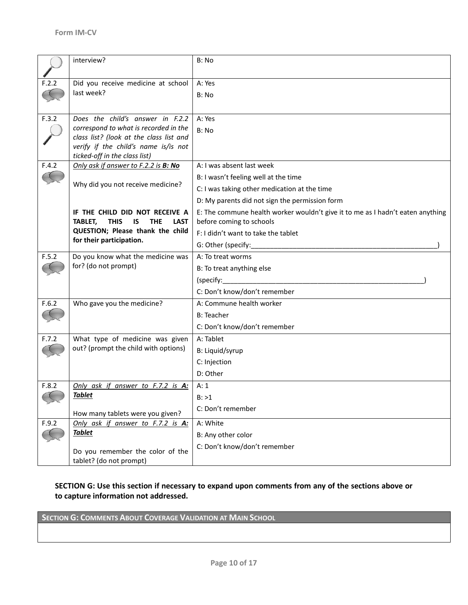|       | interview?                                                   | B: No                                                                          |
|-------|--------------------------------------------------------------|--------------------------------------------------------------------------------|
|       |                                                              |                                                                                |
| F.2.2 | Did you receive medicine at school                           | A: Yes                                                                         |
|       | last week?                                                   | B: No                                                                          |
|       |                                                              |                                                                                |
| F.3.2 | Does the child's answer in F.2.2                             | A: Yes                                                                         |
|       | correspond to what is recorded in the                        | B: No                                                                          |
|       | class list? (look at the class list and                      |                                                                                |
|       | verify if the child's name is/is not                         |                                                                                |
|       | ticked-off in the class list)                                |                                                                                |
| F.4.2 | Only ask if answer to F.2.2 is B: No                         | A: I was absent last week                                                      |
|       | Why did you not receive medicine?                            | B: I wasn't feeling well at the time                                           |
|       |                                                              | C: I was taking other medication at the time                                   |
|       |                                                              | D: My parents did not sign the permission form                                 |
|       | IF THE CHILD DID NOT RECEIVE A                               | E: The commune health worker wouldn't give it to me as I hadn't eaten anything |
|       | TABLET,<br><b>THIS</b><br>IS.<br><b>THE</b><br><b>LAST</b>   | before coming to schools                                                       |
|       | QUESTION; Please thank the child<br>for their participation. | F: I didn't want to take the tablet                                            |
|       |                                                              |                                                                                |
| F.5.2 | Do you know what the medicine was                            | A: To treat worms                                                              |
|       | for? (do not prompt)                                         | B: To treat anything else                                                      |
|       |                                                              |                                                                                |
|       |                                                              | C: Don't know/don't remember                                                   |
| F.6.2 | Who gave you the medicine?                                   | A: Commune health worker                                                       |
|       |                                                              | <b>B</b> : Teacher                                                             |
|       |                                                              | C: Don't know/don't remember                                                   |
| F.7.2 | What type of medicine was given                              | A: Tablet                                                                      |
|       | out? (prompt the child with options)                         | B: Liquid/syrup                                                                |
|       |                                                              | C: Injection                                                                   |
|       |                                                              | D: Other                                                                       |
| F.8.2 | Only ask if answer to F.7.2 is A:                            | A: 1                                                                           |
|       | <b>Tablet</b>                                                | B: >1                                                                          |
|       |                                                              | C: Don't remember                                                              |
|       | How many tablets were you given?                             |                                                                                |
| F.9.2 | Only ask if answer to F.7.2 is A:                            | A: White                                                                       |
|       | <b>Tablet</b>                                                | B: Any other color                                                             |
|       | Do you remember the color of the                             | C: Don't know/don't remember                                                   |
|       | tablet? (do not prompt)                                      |                                                                                |

# **SECTION G: Use this section if necessary to expand upon comments from any of the sections above or to capture information not addressed.**

**SECTION G: COMMENTS ABOUT COVERAGE VALIDATION AT MAIN SCHOOL**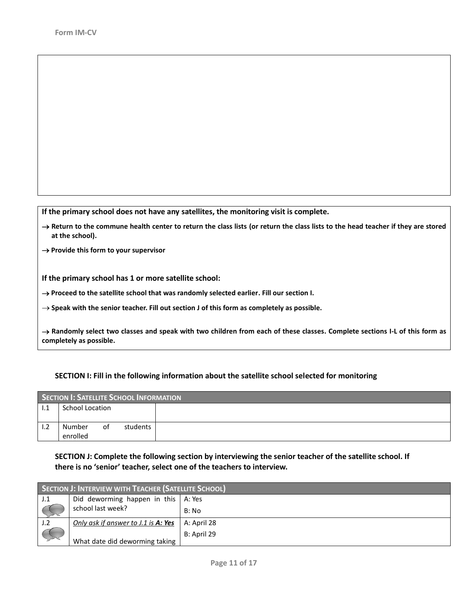**If the primary school does not have any satellites, the monitoring visit is complete.**

→ Return to the commune health center to return the class lists (or return the class lists to the head teacher if they are stored **at the school).**

→ Provide this form to your supervisor

**If the primary school has 1 or more satellite school:** 

→ Proceed to the satellite school that was randomly selected earlier. Fill our section I.

**Speak with the senior teacher. Fill out section J of this form as completely as possible.**

 **Randomly select two classes and speak with two children from each of these classes. Complete sections I-L of this form as completely as possible.** 

#### **SECTION I: Fill in the following information about the satellite school selected for monitoring**

|     | SECTION I: SATELLITE SCHOOL INFORMATION |    |          |  |
|-----|-----------------------------------------|----|----------|--|
| 1.1 | School Location                         |    |          |  |
|     |                                         |    |          |  |
| 1.2 | Number                                  | of | students |  |
|     | enrolled                                |    |          |  |

## **SECTION J: Complete the following section by interviewing the senior teacher of the satellite school. If there is no 'senior' teacher, select one of the teachers to interview.**

| <b>SECTION J: INTERVIEW WITH TEACHER (SATELLITE SCHOOL)</b> |             |  |
|-------------------------------------------------------------|-------------|--|
| Did deworming happen in this $\vert$ A: Yes                 |             |  |
| school last week?                                           | B: No       |  |
| Only ask if answer to J.1 is A: Yes                         | A: April 28 |  |
| What date did deworming taking                              | B: April 29 |  |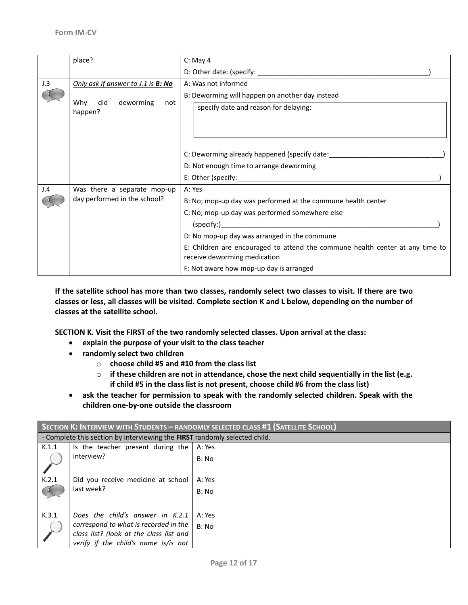|     | place?                                    | $C:$ May 4                                                                                                    |
|-----|-------------------------------------------|---------------------------------------------------------------------------------------------------------------|
|     |                                           |                                                                                                               |
| J.3 | Only ask if answer to J.1 is <b>B: No</b> | A: Was not informed                                                                                           |
|     | did deworming<br>Why<br>not<br>happen?    | B: Deworming will happen on another day instead                                                               |
|     |                                           | specify date and reason for delaying:                                                                         |
|     |                                           | C: Deworming already happened (specify date:                                                                  |
|     |                                           | D: Not enough time to arrange deworming                                                                       |
|     |                                           |                                                                                                               |
| J.4 | Was there a separate mop-up               | A: Yes                                                                                                        |
|     | day performed in the school?              | B: No; mop-up day was performed at the commune health center                                                  |
|     |                                           | C: No; mop-up day was performed somewhere else                                                                |
|     |                                           | (specify: )                                                                                                   |
|     |                                           | D: No mop-up day was arranged in the commune                                                                  |
|     |                                           | E: Children are encouraged to attend the commune health center at any time to<br>receive deworming medication |
|     |                                           | F: Not aware how mop-up day is arranged                                                                       |

**If the satellite school has more than two classes, randomly select two classes to visit. If there are two classes or less, all classes will be visited. Complete section K and L below, depending on the number of classes at the satellite school.**

**SECTION K. Visit the FIRST of the two randomly selected classes. Upon arrival at the class:**

- **explain the purpose of your visit to the class teacher**
- **randomly select two children**
	- o **choose child #5 and #10 from the class list**
	- o **if these children are not in attendance, chose the next child sequentially in the list (e.g. if child #5 in the class list is not present, choose child #6 from the class list)**
- **ask the teacher for permission to speak with the randomly selected children. Speak with the children one-by-one outside the classroom**

| SECTION K: INTERVIEW WITH STUDENTS - RANDOMLY SELECTED CLASS #1 (SATELLITE SCHOOL) |                                                                            |        |  |
|------------------------------------------------------------------------------------|----------------------------------------------------------------------------|--------|--|
|                                                                                    | - Complete this section by interviewing the FIRST randomly selected child. |        |  |
| K.1.1                                                                              | Is the teacher present during the                                          | A: Yes |  |
|                                                                                    | interview?                                                                 | B: No  |  |
|                                                                                    |                                                                            |        |  |
| K.2.1                                                                              | Did you receive medicine at school                                         | A: Yes |  |
|                                                                                    | last week?                                                                 | B: No  |  |
|                                                                                    |                                                                            |        |  |
| K.3.1                                                                              | Does the child's answer in K.2.1                                           | A: Yes |  |
|                                                                                    | correspond to what is recorded in the                                      | B: No  |  |
|                                                                                    | class list? (look at the class list and                                    |        |  |
|                                                                                    | verify if the child's name is/is not                                       |        |  |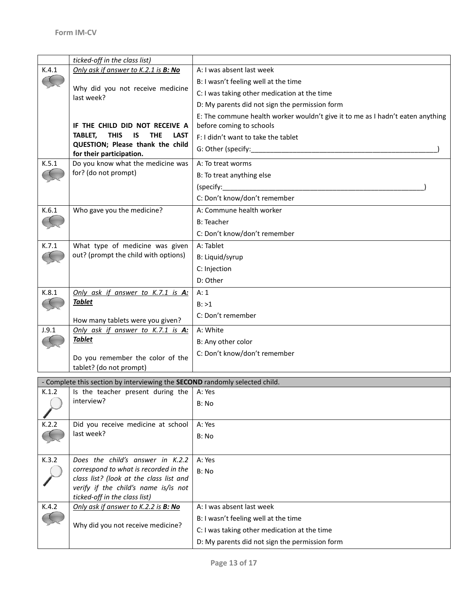|       | ticked-off in the class list)                                               |                                                                                |
|-------|-----------------------------------------------------------------------------|--------------------------------------------------------------------------------|
| K.4.1 | Only ask if answer to K.2.1 is B: No                                        | A: I was absent last week                                                      |
|       |                                                                             | B: I wasn't feeling well at the time                                           |
|       | Why did you not receive medicine<br>last week?                              | C: I was taking other medication at the time                                   |
|       |                                                                             | D: My parents did not sign the permission form                                 |
|       |                                                                             | E: The commune health worker wouldn't give it to me as I hadn't eaten anything |
|       | IF THE CHILD DID NOT RECEIVE A                                              | before coming to schools                                                       |
|       | <b>TABLET.</b><br><b>THIS</b><br>IS<br><b>THE</b><br><b>LAST</b>            | F: I didn't want to take the tablet                                            |
|       | QUESTION; Please thank the child                                            |                                                                                |
|       | for their participation.                                                    | A: To treat worms                                                              |
| K.5.1 | Do you know what the medicine was<br>for? (do not prompt)                   |                                                                                |
|       |                                                                             | B: To treat anything else                                                      |
|       |                                                                             | (specify:                                                                      |
|       |                                                                             | C: Don't know/don't remember                                                   |
| K.6.1 | Who gave you the medicine?                                                  | A: Commune health worker                                                       |
|       |                                                                             | <b>B: Teacher</b>                                                              |
|       |                                                                             | C: Don't know/don't remember                                                   |
| K.7.1 | What type of medicine was given                                             | A: Tablet                                                                      |
|       | out? (prompt the child with options)                                        | B: Liquid/syrup                                                                |
|       |                                                                             | C: Injection                                                                   |
|       |                                                                             | D: Other                                                                       |
| K.8.1 | Only ask if answer to K.7.1 is A:                                           | A: 1                                                                           |
|       | <b>Tablet</b>                                                               | B: >1                                                                          |
|       |                                                                             | C: Don't remember                                                              |
|       | How many tablets were you given?                                            |                                                                                |
| J.9.1 | Only ask if answer to K.7.1 is A:<br><u>Tablet</u>                          | A: White                                                                       |
|       |                                                                             | B: Any other color                                                             |
|       | Do you remember the color of the                                            | C: Don't know/don't remember                                                   |
|       | tablet? (do not prompt)                                                     |                                                                                |
|       | - Complete this section by interviewing the SECOND randomly selected child. |                                                                                |
| K.1.2 | Is the teacher present during the                                           | A: Yes                                                                         |
|       | interview?                                                                  | B: No                                                                          |
|       |                                                                             |                                                                                |
| K.2.2 | Did you receive medicine at school                                          | A: Yes                                                                         |
|       | last week?                                                                  | B: No                                                                          |
|       |                                                                             |                                                                                |
| K.3.2 | Does the child's answer in K.2.2                                            | A: Yes                                                                         |
|       | correspond to what is recorded in the                                       | B: No                                                                          |
|       | class list? (look at the class list and                                     |                                                                                |
|       | verify if the child's name is/is not                                        |                                                                                |
| K.4.2 | ticked-off in the class list)<br>Only ask if answer to K.2.2 is B: No       | A: I was absent last week                                                      |
|       |                                                                             | B: I wasn't feeling well at the time                                           |
|       | Why did you not receive medicine?                                           |                                                                                |
|       |                                                                             | C: I was taking other medication at the time                                   |
|       |                                                                             | D: My parents did not sign the permission form                                 |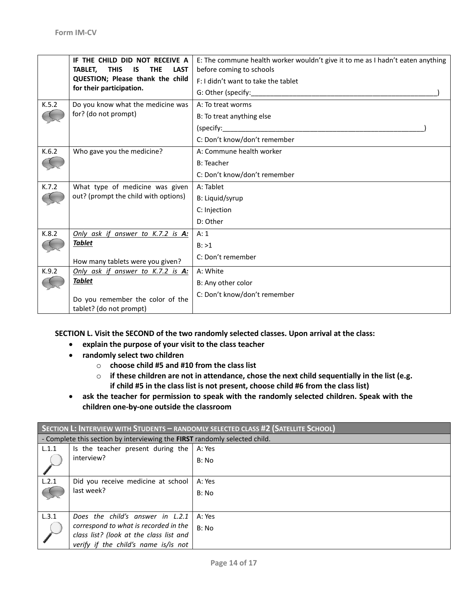|       | IF THE CHILD DID NOT RECEIVE A<br><b>THIS</b><br>TABLET.<br><b>IS</b><br><b>THE</b><br><b>LAST</b> | E: The commune health worker wouldn't give it to me as I hadn't eaten anything<br>before coming to schools       |
|-------|----------------------------------------------------------------------------------------------------|------------------------------------------------------------------------------------------------------------------|
|       | QUESTION; Please thank the child                                                                   | F: I didn't want to take the tablet                                                                              |
|       | for their participation.                                                                           | G: Other (specify: Same Content of Second Lines of Second Lines of Second Lines of Second Lines and Second Lines |
| K.5.2 | Do you know what the medicine was                                                                  | A: To treat worms                                                                                                |
|       | for? (do not prompt)                                                                               | B: To treat anything else                                                                                        |
|       |                                                                                                    | (specify:                                                                                                        |
|       |                                                                                                    | C: Don't know/don't remember                                                                                     |
| K.6.2 | Who gave you the medicine?                                                                         | A: Commune health worker                                                                                         |
|       |                                                                                                    | <b>B: Teacher</b>                                                                                                |
|       |                                                                                                    | C: Don't know/don't remember                                                                                     |
| K.7.2 | What type of medicine was given                                                                    | A: Tablet                                                                                                        |
|       | out? (prompt the child with options)                                                               | B: Liquid/syrup                                                                                                  |
|       |                                                                                                    | C: Injection                                                                                                     |
|       |                                                                                                    | D: Other                                                                                                         |
| K.8.2 | Only ask if answer to K.7.2 is A:                                                                  | A: 1                                                                                                             |
|       | <b>Tablet</b>                                                                                      | B: >1                                                                                                            |
|       | How many tablets were you given?                                                                   | C: Don't remember                                                                                                |
| K.9.2 | Only ask if answer to K.7.2 is A:                                                                  | A: White                                                                                                         |
|       | <u>Tablet</u>                                                                                      | B: Any other color                                                                                               |
|       | Do you remember the color of the<br>tablet? (do not prompt)                                        | C: Don't know/don't remember                                                                                     |

**SECTION L. Visit the SECOND of the two randomly selected classes. Upon arrival at the class:**

- **explain the purpose of your visit to the class teacher**
- **randomly select two children**
	- o **choose child #5 and #10 from the class list**
	- o **if these children are not in attendance, chose the next child sequentially in the list (e.g. if child #5 in the class list is not present, choose child #6 from the class list)**
- **ask the teacher for permission to speak with the randomly selected children. Speak with the children one-by-one outside the classroom**

| SECTION L: INTERVIEW WITH STUDENTS - RANDOMLY SELECTED CLASS #2 (SATELLITE SCHOOL) |                                                                            |        |  |
|------------------------------------------------------------------------------------|----------------------------------------------------------------------------|--------|--|
|                                                                                    | - Complete this section by interviewing the FIRST randomly selected child. |        |  |
| L.1.1                                                                              | Is the teacher present during the                                          | A: Yes |  |
|                                                                                    | interview?                                                                 | B: No  |  |
|                                                                                    |                                                                            |        |  |
| L.2.1                                                                              | Did you receive medicine at school                                         | A: Yes |  |
|                                                                                    | last week?                                                                 | B: No  |  |
|                                                                                    |                                                                            |        |  |
| L.3.1                                                                              | Does the child's answer in L.2.1                                           | A: Yes |  |
|                                                                                    | correspond to what is recorded in the                                      | B: No  |  |
|                                                                                    | class list? (look at the class list and                                    |        |  |
|                                                                                    | verify if the child's name is/is not                                       |        |  |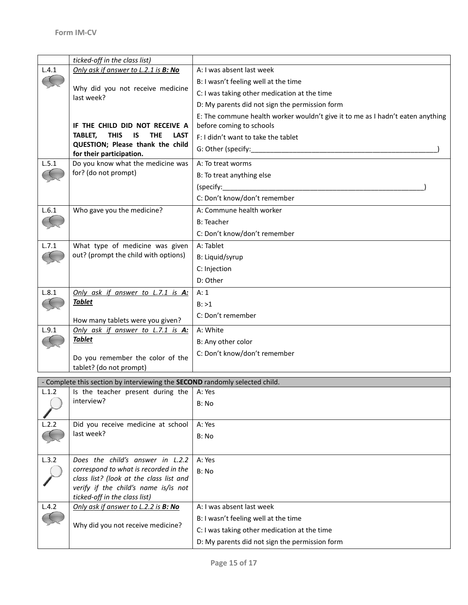|       | ticked-off in the class list)                                               |                                                                                |
|-------|-----------------------------------------------------------------------------|--------------------------------------------------------------------------------|
| L.4.1 | Only ask if answer to L.2.1 is B: No                                        | A: I was absent last week                                                      |
|       |                                                                             | B: I wasn't feeling well at the time                                           |
|       | Why did you not receive medicine<br>last week?                              | C: I was taking other medication at the time                                   |
|       |                                                                             | D: My parents did not sign the permission form                                 |
|       |                                                                             | E: The commune health worker wouldn't give it to me as I hadn't eaten anything |
|       | IF THE CHILD DID NOT RECEIVE A                                              | before coming to schools                                                       |
|       | <b>TABLET,</b><br><b>THIS</b><br>IS<br><b>THE</b><br><b>LAST</b>            | F: I didn't want to take the tablet                                            |
|       | QUESTION; Please thank the child                                            |                                                                                |
|       | for their participation.                                                    |                                                                                |
| L.5.1 | Do you know what the medicine was<br>for? (do not prompt)                   | A: To treat worms                                                              |
|       |                                                                             | B: To treat anything else                                                      |
|       |                                                                             | (specify:                                                                      |
|       |                                                                             | C: Don't know/don't remember                                                   |
| L.6.1 | Who gave you the medicine?                                                  | A: Commune health worker                                                       |
|       |                                                                             | <b>B: Teacher</b>                                                              |
|       |                                                                             | C: Don't know/don't remember                                                   |
| L.7.1 | What type of medicine was given                                             | A: Tablet                                                                      |
|       | out? (prompt the child with options)                                        | B: Liquid/syrup                                                                |
|       |                                                                             | C: Injection                                                                   |
|       |                                                                             | D: Other                                                                       |
| L.8.1 | Only ask if answer to L.7.1 is A:                                           | A: 1                                                                           |
|       | <b>Tablet</b>                                                               | B: >1                                                                          |
|       |                                                                             | C: Don't remember                                                              |
|       | How many tablets were you given?                                            |                                                                                |
| L.9.1 | Only ask if answer to L.7.1 is A:                                           | A: White                                                                       |
|       | <b>Tablet</b>                                                               | B: Any other color                                                             |
|       | Do you remember the color of the                                            | C: Don't know/don't remember                                                   |
|       | tablet? (do not prompt)                                                     |                                                                                |
|       | - Complete this section by interviewing the SECOND randomly selected child. |                                                                                |
| L.1.2 | Is the teacher present during the                                           | A: Yes                                                                         |
|       | interview?                                                                  | B: No                                                                          |
|       |                                                                             |                                                                                |
| L.2.2 | Did you receive medicine at school                                          | A: Yes                                                                         |
|       | last week?                                                                  | B: No                                                                          |
|       |                                                                             |                                                                                |
| L.3.2 | Does the child's answer in L.2.2                                            | A: Yes                                                                         |
|       | correspond to what is recorded in the                                       | B: No                                                                          |
|       | class list? (look at the class list and                                     |                                                                                |
|       | verify if the child's name is/is not                                        |                                                                                |
|       | ticked-off in the class list)                                               |                                                                                |
| L.4.2 | Only ask if answer to L.2.2 is B: No                                        | A: I was absent last week                                                      |
|       | Why did you not receive medicine?                                           | B: I wasn't feeling well at the time                                           |
|       |                                                                             | C: I was taking other medication at the time                                   |
|       |                                                                             | D: My parents did not sign the permission form                                 |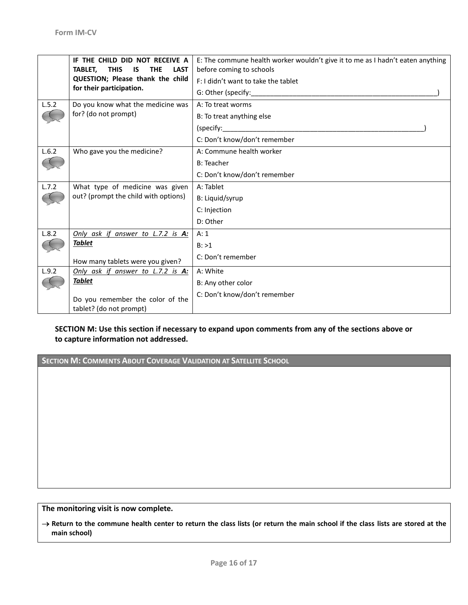|       | IF THE CHILD DID NOT RECEIVE A<br><b>THIS</b><br>TABLET.<br>IS<br><b>THE</b><br><b>LAST</b> | E: The commune health worker wouldn't give it to me as I hadn't eaten anything<br>before coming to schools |
|-------|---------------------------------------------------------------------------------------------|------------------------------------------------------------------------------------------------------------|
|       | QUESTION; Please thank the child                                                            | F: I didn't want to take the tablet                                                                        |
|       | for their participation.                                                                    |                                                                                                            |
| L.5.2 | Do you know what the medicine was                                                           | A: To treat worms                                                                                          |
|       | for? (do not prompt)                                                                        | B: To treat anything else                                                                                  |
|       |                                                                                             | (specify:______________________                                                                            |
|       |                                                                                             | C: Don't know/don't remember                                                                               |
| L.6.2 | Who gave you the medicine?                                                                  | A: Commune health worker                                                                                   |
|       |                                                                                             | <b>B: Teacher</b>                                                                                          |
|       |                                                                                             | C: Don't know/don't remember                                                                               |
| L.7.2 | What type of medicine was given                                                             | A: Tablet                                                                                                  |
|       | out? (prompt the child with options)                                                        | B: Liquid/syrup                                                                                            |
|       |                                                                                             | C: Injection                                                                                               |
|       |                                                                                             | D: Other                                                                                                   |
| L.8.2 | Only ask if answer to L.7.2 is A:                                                           | A:1                                                                                                        |
|       | <b>Tablet</b>                                                                               | B: >1                                                                                                      |
|       | How many tablets were you given?                                                            | C: Don't remember                                                                                          |
| L.9.2 | Only ask if answer to L.7.2 is A:                                                           | A: White                                                                                                   |
|       | <b>Tablet</b>                                                                               | B: Any other color                                                                                         |
|       | Do you remember the color of the<br>tablet? (do not prompt)                                 | C: Don't know/don't remember                                                                               |

### **SECTION M: Use this section if necessary to expand upon comments from any of the sections above or to capture information not addressed.**

**SECTION M: COMMENTS ABOUT COVERAGE VALIDATION AT SATELLITE SCHOOL**

**The monitoring visit is now complete.**

 **Return to the commune health center to return the class lists (or return the main school if the class lists are stored at the main school)**